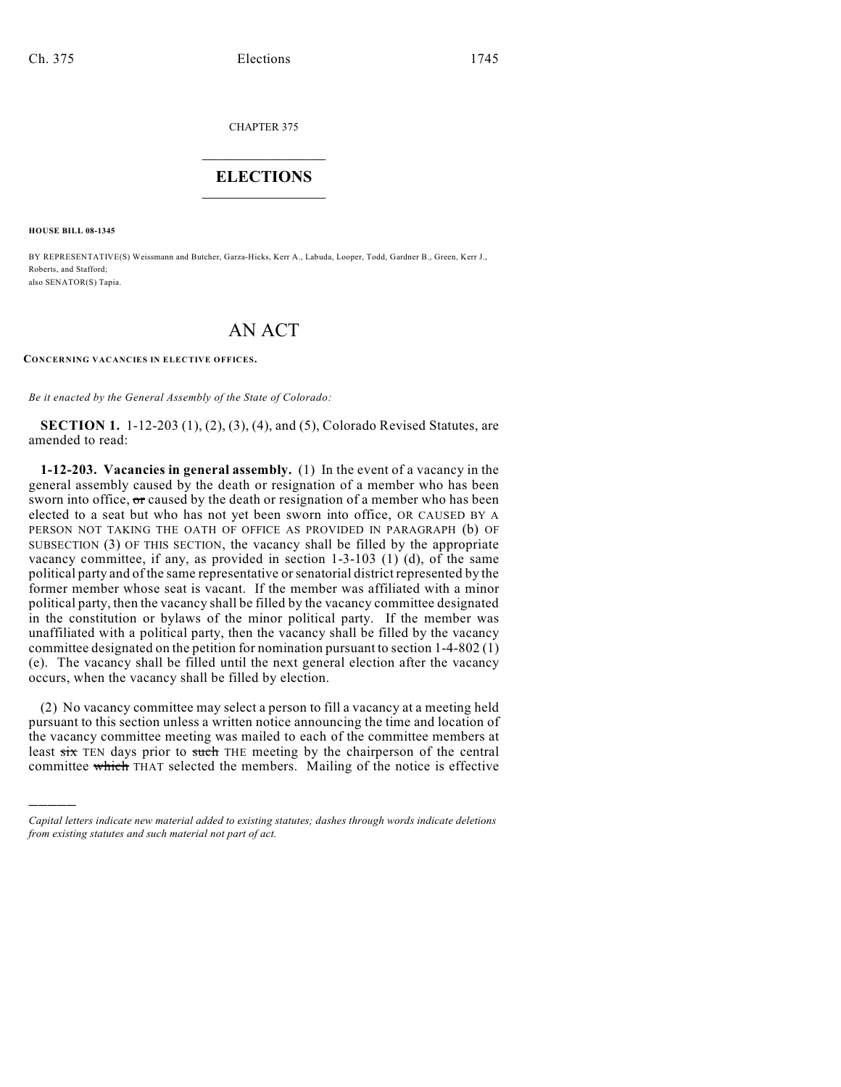CHAPTER 375

## $\mathcal{L}_\text{max}$  . The set of the set of the set of the set of the set of the set of the set of the set of the set of the set of the set of the set of the set of the set of the set of the set of the set of the set of the set **ELECTIONS**  $\_$

**HOUSE BILL 08-1345**

)))))

BY REPRESENTATIVE(S) Weissmann and Butcher, Garza-Hicks, Kerr A., Labuda, Looper, Todd, Gardner B., Green, Kerr J., Roberts, and Stafford; also SENATOR(S) Tapia.

## AN ACT

**CONCERNING VACANCIES IN ELECTIVE OFFICES.**

*Be it enacted by the General Assembly of the State of Colorado:*

**SECTION 1.** 1-12-203 (1), (2), (3), (4), and (5), Colorado Revised Statutes, are amended to read:

**1-12-203. Vacancies in general assembly.** (1) In the event of a vacancy in the general assembly caused by the death or resignation of a member who has been sworn into office, or caused by the death or resignation of a member who has been elected to a seat but who has not yet been sworn into office, OR CAUSED BY A PERSON NOT TAKING THE OATH OF OFFICE AS PROVIDED IN PARAGRAPH (b) OF SUBSECTION (3) OF THIS SECTION, the vacancy shall be filled by the appropriate vacancy committee, if any, as provided in section 1-3-103 (1) (d), of the same political party and of the same representative or senatorial district represented by the former member whose seat is vacant. If the member was affiliated with a minor political party, then the vacancy shall be filled by the vacancy committee designated in the constitution or bylaws of the minor political party. If the member was unaffiliated with a political party, then the vacancy shall be filled by the vacancy committee designated on the petition for nomination pursuant to section 1-4-802 (1) (e). The vacancy shall be filled until the next general election after the vacancy occurs, when the vacancy shall be filled by election.

(2) No vacancy committee may select a person to fill a vacancy at a meeting held pursuant to this section unless a written notice announcing the time and location of the vacancy committee meeting was mailed to each of the committee members at least  $s$ ix TEN days prior to such THE meeting by the chairperson of the central committee which THAT selected the members. Mailing of the notice is effective

*Capital letters indicate new material added to existing statutes; dashes through words indicate deletions from existing statutes and such material not part of act.*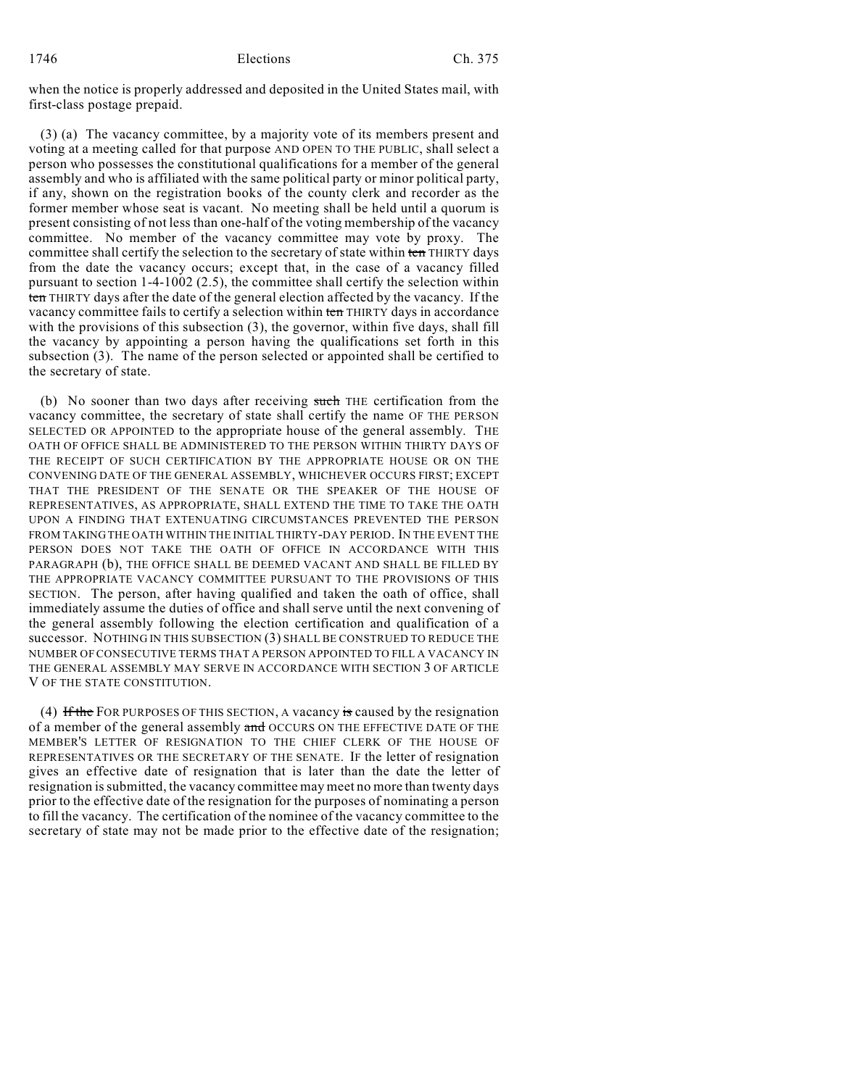when the notice is properly addressed and deposited in the United States mail, with first-class postage prepaid.

(3) (a) The vacancy committee, by a majority vote of its members present and voting at a meeting called for that purpose AND OPEN TO THE PUBLIC, shall select a person who possesses the constitutional qualifications for a member of the general assembly and who is affiliated with the same political party or minor political party, if any, shown on the registration books of the county clerk and recorder as the former member whose seat is vacant. No meeting shall be held until a quorum is present consisting of not less than one-half of the voting membership of the vacancy committee. No member of the vacancy committee may vote by proxy. The committee shall certify the selection to the secretary of state within ten THIRTY days from the date the vacancy occurs; except that, in the case of a vacancy filled pursuant to section 1-4-1002 (2.5), the committee shall certify the selection within ten THIRTY days after the date of the general election affected by the vacancy. If the vacancy committee fails to certify a selection within ten THIRTY days in accordance with the provisions of this subsection (3), the governor, within five days, shall fill the vacancy by appointing a person having the qualifications set forth in this subsection (3). The name of the person selected or appointed shall be certified to the secretary of state.

(b) No sooner than two days after receiving such THE certification from the vacancy committee, the secretary of state shall certify the name OF THE PERSON SELECTED OR APPOINTED to the appropriate house of the general assembly. THE OATH OF OFFICE SHALL BE ADMINISTERED TO THE PERSON WITHIN THIRTY DAYS OF THE RECEIPT OF SUCH CERTIFICATION BY THE APPROPRIATE HOUSE OR ON THE CONVENING DATE OF THE GENERAL ASSEMBLY, WHICHEVER OCCURS FIRST; EXCEPT THAT THE PRESIDENT OF THE SENATE OR THE SPEAKER OF THE HOUSE OF REPRESENTATIVES, AS APPROPRIATE, SHALL EXTEND THE TIME TO TAKE THE OATH UPON A FINDING THAT EXTENUATING CIRCUMSTANCES PREVENTED THE PERSON FROM TAKING THE OATH WITHIN THE INITIAL THIRTY-DAY PERIOD. IN THE EVENT THE PERSON DOES NOT TAKE THE OATH OF OFFICE IN ACCORDANCE WITH THIS PARAGRAPH (b), THE OFFICE SHALL BE DEEMED VACANT AND SHALL BE FILLED BY THE APPROPRIATE VACANCY COMMITTEE PURSUANT TO THE PROVISIONS OF THIS SECTION. The person, after having qualified and taken the oath of office, shall immediately assume the duties of office and shall serve until the next convening of the general assembly following the election certification and qualification of a successor. NOTHING IN THIS SUBSECTION (3) SHALL BE CONSTRUED TO REDUCE THE NUMBER OF CONSECUTIVE TERMS THAT A PERSON APPOINTED TO FILL A VACANCY IN THE GENERAL ASSEMBLY MAY SERVE IN ACCORDANCE WITH SECTION 3 OF ARTICLE V OF THE STATE CONSTITUTION.

(4) If the FOR PURPOSES OF THIS SECTION, A vacancy is caused by the resignation of a member of the general assembly and OCCURS ON THE EFFECTIVE DATE OF THE MEMBER'S LETTER OF RESIGNATION TO THE CHIEF CLERK OF THE HOUSE OF REPRESENTATIVES OR THE SECRETARY OF THE SENATE. IF the letter of resignation gives an effective date of resignation that is later than the date the letter of resignation is submitted, the vacancy committee may meet no more than twenty days prior to the effective date of the resignation for the purposes of nominating a person to fill the vacancy. The certification of the nominee of the vacancy committee to the secretary of state may not be made prior to the effective date of the resignation;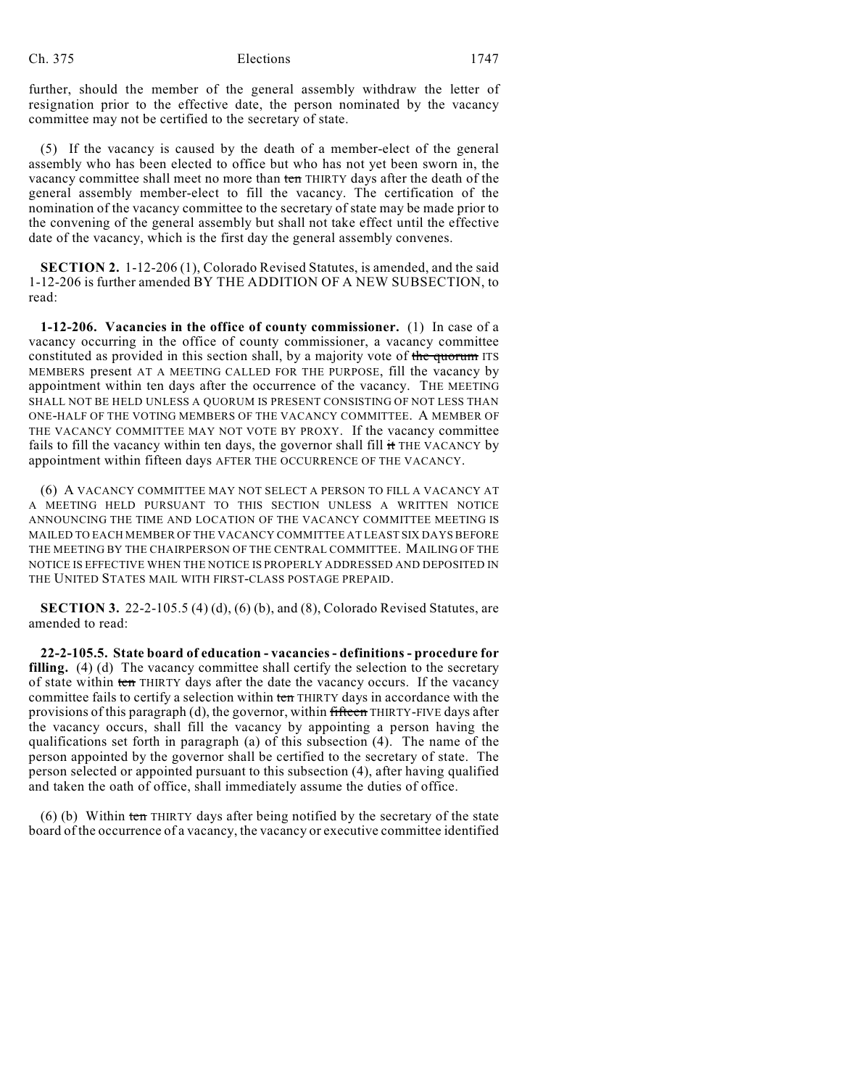further, should the member of the general assembly withdraw the letter of resignation prior to the effective date, the person nominated by the vacancy committee may not be certified to the secretary of state.

(5) If the vacancy is caused by the death of a member-elect of the general assembly who has been elected to office but who has not yet been sworn in, the vacancy committee shall meet no more than ten THIRTY days after the death of the general assembly member-elect to fill the vacancy. The certification of the nomination of the vacancy committee to the secretary of state may be made prior to the convening of the general assembly but shall not take effect until the effective date of the vacancy, which is the first day the general assembly convenes.

**SECTION 2.** 1-12-206 (1), Colorado Revised Statutes, is amended, and the said 1-12-206 is further amended BY THE ADDITION OF A NEW SUBSECTION, to read:

**1-12-206. Vacancies in the office of county commissioner.** (1) In case of a vacancy occurring in the office of county commissioner, a vacancy committee constituted as provided in this section shall, by a majority vote of the quorum ITS MEMBERS present AT A MEETING CALLED FOR THE PURPOSE, fill the vacancy by appointment within ten days after the occurrence of the vacancy. THE MEETING SHALL NOT BE HELD UNLESS A QUORUM IS PRESENT CONSISTING OF NOT LESS THAN ONE-HALF OF THE VOTING MEMBERS OF THE VACANCY COMMITTEE. A MEMBER OF THE VACANCY COMMITTEE MAY NOT VOTE BY PROXY. If the vacancy committee fails to fill the vacancy within ten days, the governor shall fill it THE VACANCY by appointment within fifteen days AFTER THE OCCURRENCE OF THE VACANCY.

(6) A VACANCY COMMITTEE MAY NOT SELECT A PERSON TO FILL A VACANCY AT A MEETING HELD PURSUANT TO THIS SECTION UNLESS A WRITTEN NOTICE ANNOUNCING THE TIME AND LOCATION OF THE VACANCY COMMITTEE MEETING IS MAILED TO EACH MEMBER OF THE VACANCY COMMITTEE AT LEAST SIX DAYS BEFORE THE MEETING BY THE CHAIRPERSON OF THE CENTRAL COMMITTEE. MAILING OF THE NOTICE IS EFFECTIVE WHEN THE NOTICE IS PROPERLY ADDRESSED AND DEPOSITED IN THE UNITED STATES MAIL WITH FIRST-CLASS POSTAGE PREPAID.

**SECTION 3.** 22-2-105.5 (4) (d), (6) (b), and (8), Colorado Revised Statutes, are amended to read:

**22-2-105.5. State board of education - vacancies - definitions - procedure for filling.** (4) (d) The vacancy committee shall certify the selection to the secretary of state within ten THIRTY days after the date the vacancy occurs. If the vacancy committee fails to certify a selection within ten THIRTY days in accordance with the provisions of this paragraph (d), the governor, within fifteen THIRTY-FIVE days after the vacancy occurs, shall fill the vacancy by appointing a person having the qualifications set forth in paragraph (a) of this subsection (4). The name of the person appointed by the governor shall be certified to the secretary of state. The person selected or appointed pursuant to this subsection (4), after having qualified and taken the oath of office, shall immediately assume the duties of office.

(6) (b) Within ten THIRTY days after being notified by the secretary of the state board of the occurrence of a vacancy, the vacancy or executive committee identified